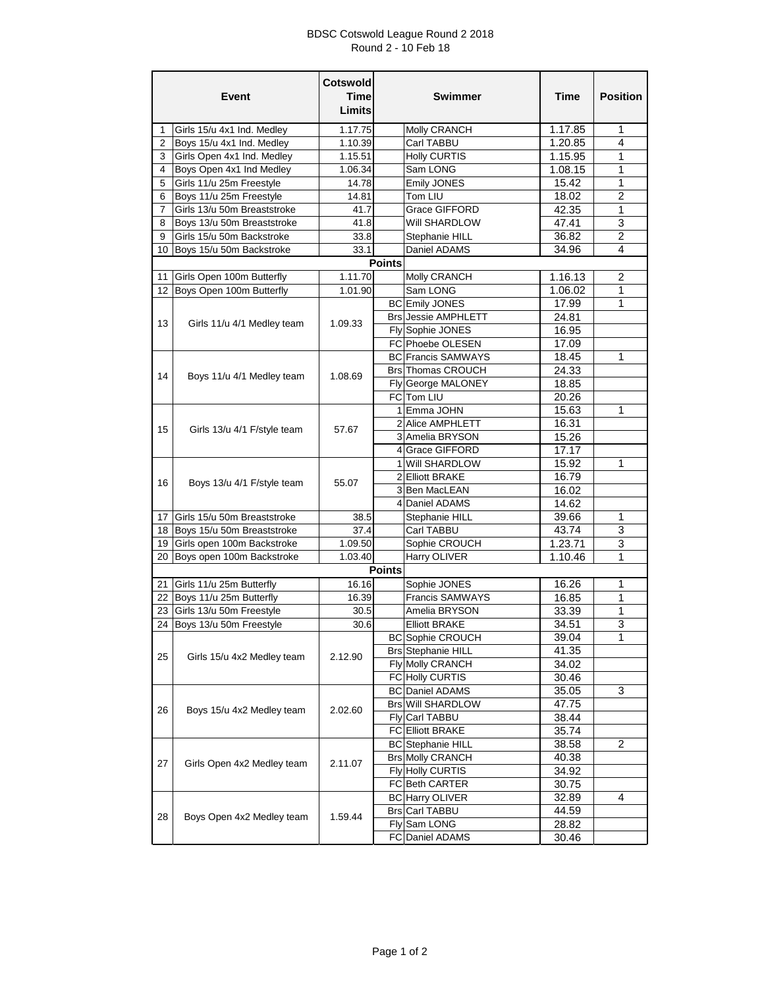## BDSC Cotswold League Round 2 2018 Round 2 - 10 Feb 18

|                                                         | <b>Event</b>                | <b>Cotswold</b><br>Time<br>Limits |               | <b>Swimmer</b>                 | Time    | <b>Position</b> |
|---------------------------------------------------------|-----------------------------|-----------------------------------|---------------|--------------------------------|---------|-----------------|
| $\mathbf{1}$                                            | Girls 15/u 4x1 Ind. Medley  | 1.17.75                           |               | <b>Molly CRANCH</b>            | 1.17.85 | 1               |
| 2                                                       | Boys 15/u 4x1 Ind. Medley   | 1.10.39                           |               | Carl TABBU                     | 1.20.85 | 4               |
| 3                                                       | Girls Open 4x1 Ind. Medley  | 1.15.51                           |               | <b>Holly CURTIS</b>            | 1.15.95 | 1               |
| 4                                                       | Boys Open 4x1 Ind Medley    | 1.06.34                           |               | Sam LONG                       | 1.08.15 | 1               |
| 5                                                       | Girls 11/u 25m Freestyle    | 14.78                             |               | <b>Emily JONES</b>             | 15.42   | 1               |
| 6                                                       | Boys 11/u 25m Freestyle     | 14.81                             |               | Tom LIU                        | 18.02   | $\overline{c}$  |
| 7                                                       | Girls 13/u 50m Breaststroke | 41.7                              |               | Grace GIFFORD                  | 42.35   | $\mathbf{1}$    |
| 8                                                       | Boys 13/u 50m Breaststroke  | 41.8                              |               | Will SHARDLOW                  | 47.41   | 3               |
| 9                                                       | Girls 15/u 50m Backstroke   |                                   |               |                                | 36.82   | 2               |
|                                                         |                             | 33.8                              |               | Stephanie HILL<br>Daniel ADAMS |         | 4               |
| Boys 15/u 50m Backstroke<br>33.1<br>10<br><b>Points</b> |                             |                                   |               | 34.96                          |         |                 |
|                                                         |                             |                                   |               |                                |         |                 |
| 11<br>12                                                | Girls Open 100m Butterfly   | 1.11.70                           |               | Molly CRANCH                   | 1.16.13 | 2               |
|                                                         | Boys Open 100m Butterfly    | 1.01.90                           |               | Sam LONG                       | 1.06.02 | 1               |
|                                                         | Girls 11/u 4/1 Medley team  | 1.09.33                           |               | <b>BC</b> Emily JONES          | 17.99   | 1               |
| 13                                                      |                             |                                   |               | <b>Brs Jessie AMPHLETT</b>     | 24.81   |                 |
|                                                         |                             |                                   |               | Fly Sophie JONES               | 16.95   |                 |
|                                                         |                             |                                   |               | FC Phoebe OLESEN               | 17.09   |                 |
|                                                         |                             |                                   |               | <b>BC</b> Francis SAMWAYS      | 18.45   | 1               |
| 14                                                      | Boys 11/u 4/1 Medley team   | 1.08.69                           |               | <b>Brs</b> Thomas CROUCH       | 24.33   |                 |
|                                                         |                             |                                   |               | Fly George MALONEY             | 18.85   |                 |
|                                                         |                             |                                   |               | FC Tom LIU                     | 20.26   |                 |
|                                                         |                             |                                   |               | 1 Emma JOHN                    | 15.63   | 1               |
| 15                                                      | Girls 13/u 4/1 F/style team | 57.67                             |               | 2 Alice AMPHLETT               | 16.31   |                 |
|                                                         |                             |                                   |               | 3 Amelia BRYSON                | 15.26   |                 |
|                                                         |                             |                                   |               | 4 Grace GIFFORD                | 17.17   |                 |
|                                                         | Boys 13/u 4/1 F/style team  |                                   |               | 1 Will SHARDLOW                | 15.92   | 1               |
| 16                                                      |                             | 55.07                             |               | 2 Elliott BRAKE                | 16.79   |                 |
|                                                         |                             |                                   |               | 3 Ben MacLEAN                  | 16.02   |                 |
|                                                         |                             |                                   |               | 4 Daniel ADAMS                 | 14.62   |                 |
| 17                                                      | Girls 15/u 50m Breaststroke | 38.5                              |               | Stephanie HILL                 | 39.66   | 1               |
| 18                                                      | Boys 15/u 50m Breaststroke  | 37.4                              |               | Carl TABBU                     | 43.74   | 3               |
| 19                                                      | Girls open 100m Backstroke  | 1.09.50                           |               | Sophie CROUCH                  | 1.23.71 | 3               |
| 20                                                      | Boys open 100m Backstroke   | 1.03.40                           |               | Harry OLIVER                   | 1.10.46 | 1               |
|                                                         |                             |                                   | <b>Points</b> |                                |         |                 |
| 21                                                      | Girls 11/u 25m Butterfly    | 16.16                             |               | Sophie JONES                   | 16.26   | 1               |
| 22                                                      | Boys 11/u 25m Butterfly     | 16.39                             |               | <b>Francis SAMWAYS</b>         | 16.85   | 1               |
|                                                         | 23 Girls 13/u 50m Freestyle | 30.5                              |               | Amelia BRYSON                  | 33.39   | 1               |
|                                                         | 24 Boys 13/u 50m Freestyle  | 30.6                              |               | <b>Elliott BRAKE</b>           | 34.51   | 3               |
|                                                         |                             |                                   |               | <b>BC</b> Sophie CROUCH        | 39.04   | 1               |
|                                                         | Girls 15/u 4x2 Medley team  | 2.12.90                           |               | <b>Brs Stephanie HILL</b>      | 41.35   |                 |
| 25                                                      |                             |                                   |               | Fly Molly CRANCH               | 34.02   |                 |
|                                                         |                             |                                   |               | FC Holly CURTIS                | 30.46   |                 |
|                                                         | Boys 15/u 4x2 Medley team   | 2.02.60                           |               | <b>BC</b> Daniel ADAMS         | 35.05   | 3               |
|                                                         |                             |                                   |               | <b>Brs Will SHARDLOW</b>       | 47.75   |                 |
| 26                                                      |                             |                                   |               | Fly Carl TABBU                 | 38.44   |                 |
|                                                         |                             |                                   |               | <b>FC Elliott BRAKE</b>        | 35.74   |                 |
|                                                         | Girls Open 4x2 Medley team  | 2.11.07                           |               | <b>BC</b> Stephanie HILL       | 38.58   | 2               |
|                                                         |                             |                                   |               | <b>Brs Molly CRANCH</b>        | 40.38   |                 |
| 27                                                      |                             |                                   |               | Fly Holly CURTIS               | 34.92   |                 |
|                                                         |                             |                                   |               | FC Beth CARTER                 | 30.75   |                 |
|                                                         |                             |                                   |               |                                |         |                 |
| 28                                                      | Boys Open 4x2 Medley team   | 1.59.44                           |               | <b>BC</b> Harry OLIVER         | 32.89   | 4               |
|                                                         |                             |                                   |               | <b>Brs Carl TABBU</b>          | 44.59   |                 |
|                                                         |                             |                                   |               | Fly Sam LONG                   | 28.82   |                 |
|                                                         |                             |                                   |               | FC Daniel ADAMS                | 30.46   |                 |